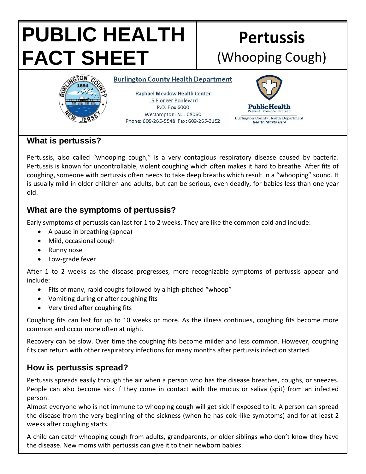# **PUBLIC HEALTH FACT SHEET**

# **Pertussis** (Whooping Cough)



**Burlington County Health Department** 

**Raphael Meadow Health Center** 15 Pioneer Boulevard P.O. Box 6000 Westampton, N.J. 08060 Phone: 609-265-5548 Fax: 609-265-3152



## **What is pertussis?**

Pertussis, also called "whooping cough," is a very contagious respiratory disease caused by bacteria. Pertussis is known for uncontrollable, violent coughing which often makes it hard to breathe. After fits of coughing, someone with pertussis often needs to take deep breaths which result in a "whooping" sound. It is usually mild in older children and adults, but can be serious, even deadly, for babies less than one year old.

## **What are the symptoms of pertussis?**

Early symptoms of pertussis can last for 1 to 2 weeks. They are like the common cold and include:

- A pause in breathing (apnea)
- Mild, occasional cough
- Runny nose
- Low-grade fever

After 1 to 2 weeks as the disease progresses, more recognizable symptoms of pertussis appear and include:

- Fits of many, rapid coughs followed by a high-pitched "whoop"
- Vomiting during or after coughing fits
- Very tired after coughing fits

Coughing fits can last for up to 10 weeks or more. As the illness continues, coughing fits become more common and occur more often at night.

Recovery can be slow. Over time the coughing fits become milder and less common. However, coughing fits can return with other respiratory infections for many months after pertussis infection started.

# **How is pertussis spread?**

Pertussis spreads easily through the air when a person who has the disease breathes, coughs, or sneezes. People can also become sick if they come in contact with the mucus or saliva (spit) from an infected person.

Almost everyone who is not immune to whooping cough will get sick if exposed to it. A person can spread the disease from the very beginning of the sickness (when he has cold-like symptoms) and for at least 2 weeks after coughing starts.

A child can catch whooping cough from adults, grandparents, or older siblings who don't know they have the disease. New moms with pertussis can give it to their newborn babies.